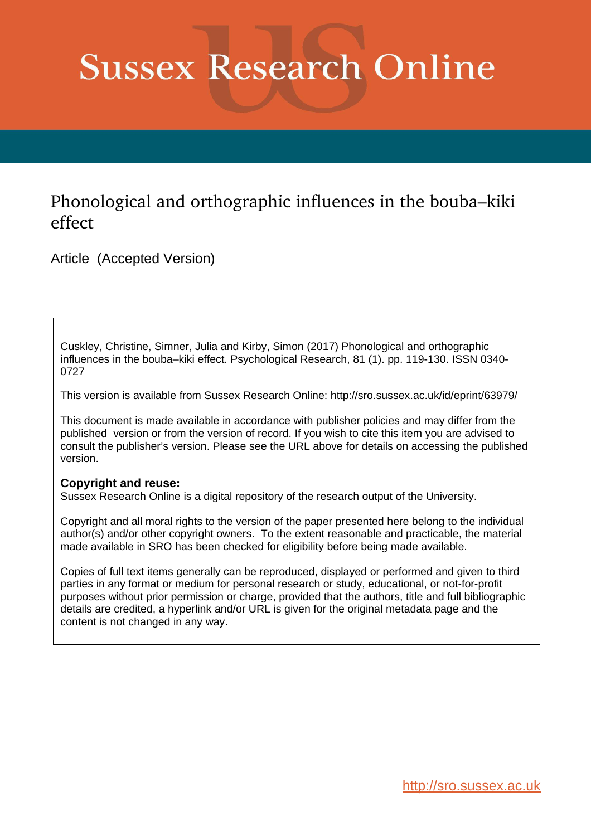# **Sussex Research Online**

# Phonological and orthographic influences in the bouba–kiki effect

Article (Accepted Version)

Cuskley, Christine, Simner, Julia and Kirby, Simon (2017) Phonological and orthographic influences in the bouba–kiki effect. Psychological Research, 81 (1). pp. 119-130. ISSN 0340- 0727

This version is available from Sussex Research Online: http://sro.sussex.ac.uk/id/eprint/63979/

This document is made available in accordance with publisher policies and may differ from the published version or from the version of record. If you wish to cite this item you are advised to consult the publisher's version. Please see the URL above for details on accessing the published version.

### **Copyright and reuse:**

Sussex Research Online is a digital repository of the research output of the University.

Copyright and all moral rights to the version of the paper presented here belong to the individual author(s) and/or other copyright owners. To the extent reasonable and practicable, the material made available in SRO has been checked for eligibility before being made available.

Copies of full text items generally can be reproduced, displayed or performed and given to third parties in any format or medium for personal research or study, educational, or not-for-profit purposes without prior permission or charge, provided that the authors, title and full bibliographic details are credited, a hyperlink and/or URL is given for the original metadata page and the content is not changed in any way.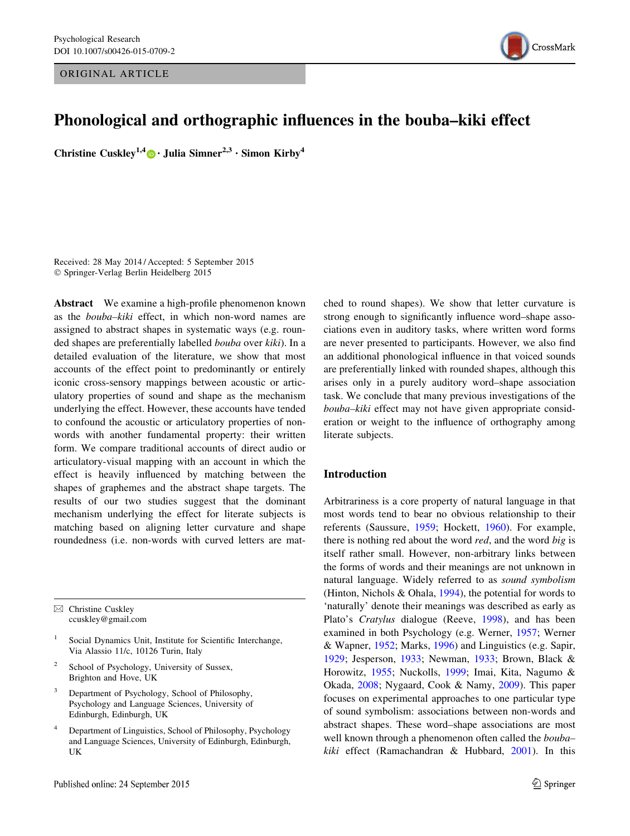ORIGINAL ARTICLE



## Phonological and orthographic influences in the bouba–kiki effect

Christine Cuskley<sup>1,4</sup> • Julia Simner<sup>2,3</sup> • Simon Kirby<sup>4</sup>

Received: 28 May 2014 / Accepted: 5 September 2015 - Springer-Verlag Berlin Heidelberg 2015

Abstract We examine a high-profile phenomenon known as the bouba–kiki effect, in which non-word names are assigned to abstract shapes in systematic ways (e.g. rounded shapes are preferentially labelled bouba over kiki). In a detailed evaluation of the literature, we show that most accounts of the effect point to predominantly or entirely iconic cross-sensory mappings between acoustic or articulatory properties of sound and shape as the mechanism underlying the effect. However, these accounts have tended to confound the acoustic or articulatory properties of nonwords with another fundamental property: their written form. We compare traditional accounts of direct audio or articulatory-visual mapping with an account in which the effect is heavily influenced by matching between the shapes of graphemes and the abstract shape targets. The results of our two studies suggest that the dominant mechanism underlying the effect for literate subjects is matching based on aligning letter curvature and shape roundedness (i.e. non-words with curved letters are mat-

 $\boxtimes$  Christine Cuskley ccuskley@gmail.com

- Social Dynamics Unit, Institute for Scientific Interchange, Via Alassio 11/c, 10126 Turin, Italy
- <sup>2</sup> School of Psychology, University of Sussex, Brighton and Hove, UK
- <sup>3</sup> Department of Psychology, School of Philosophy, Psychology and Language Sciences, University of Edinburgh, Edinburgh, UK
- <sup>4</sup> Department of Linguistics, School of Philosophy, Psychology and Language Sciences, University of Edinburgh, Edinburgh, UK

ched to round shapes). We show that letter curvature is strong enough to significantly influence word–shape associations even in auditory tasks, where written word forms are never presented to participants. However, we also find an additional phonological influence in that voiced sounds are preferentially linked with rounded shapes, although this arises only in a purely auditory word–shape association task. We conclude that many previous investigations of the bouba–kiki effect may not have given appropriate consideration or weight to the influence of orthography among literate subjects.

#### Introduction

Arbitrariness is a core property of natural language in that most words tend to bear no obvious relationship to their referents (Saussure, [1959;](#page-12-0) Hockett, [1960\)](#page-11-0). For example, there is nothing red about the word *red*, and the word *big* is itself rather small. However, non-arbitrary links between the forms of words and their meanings are not unknown in natural language. Widely referred to as sound symbolism (Hinton, Nichols & Ohala, [1994\)](#page-11-0), the potential for words to 'naturally' denote their meanings was described as early as Plato's Cratylus dialogue (Reeve, [1998](#page-12-0)), and has been examined in both Psychology (e.g. Werner, [1957;](#page-12-0) Werner & Wapner, [1952;](#page-12-0) Marks, [1996\)](#page-11-0) and Linguistics (e.g. Sapir, [1929](#page-12-0); Jesperson, [1933](#page-11-0); Newman, [1933](#page-11-0); Brown, Black & Horowitz, [1955;](#page-11-0) Nuckolls, [1999;](#page-12-0) Imai, Kita, Nagumo & Okada, [2008](#page-11-0); Nygaard, Cook & Namy, [2009](#page-12-0)). This paper focuses on experimental approaches to one particular type of sound symbolism: associations between non-words and abstract shapes. These word–shape associations are most well known through a phenomenon often called the *bouba*kiki effect (Ramachandran & Hubbard, [2001](#page-12-0)). In this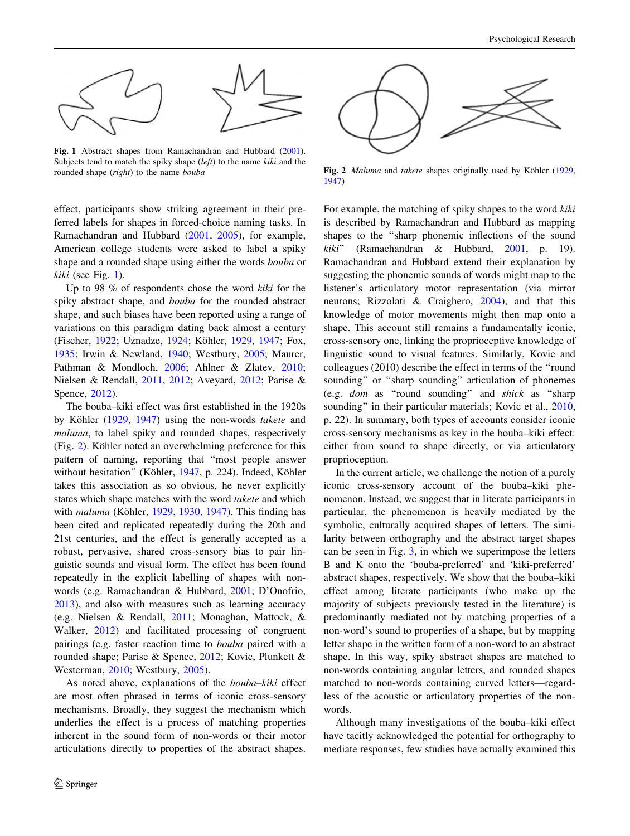

Fig. 1 Abstract shapes from Ramachandran and Hubbard [\(2001](#page-12-0)). Subjects tend to match the spiky shape  $(left)$  to the name kiki and the

effect, participants show striking agreement in their preferred labels for shapes in forced-choice naming tasks. In Ramachandran and Hubbard [\(2001](#page-12-0), [2005\)](#page-12-0), for example, American college students were asked to label a spiky shape and a rounded shape using either the words bouba or kiki (see Fig. 1).

Up to 98 % of respondents chose the word kiki for the spiky abstract shape, and bouba for the rounded abstract shape, and such biases have been reported using a range of variations on this paradigm dating back almost a century (Fischer, [1922;](#page-11-0) Uznadze, [1924;](#page-12-0) Köhler, [1929](#page-11-0), [1947;](#page-11-0) Fox, [1935;](#page-11-0) Irwin & Newland, [1940](#page-11-0); Westbury, [2005](#page-12-0); Maurer, Pathman & Mondloch, [2006;](#page-11-0) Ahlner & Zlatev, [2010](#page-11-0); Nielsen & Rendall, [2011,](#page-11-0) [2012;](#page-12-0) Aveyard, [2012;](#page-11-0) Parise & Spence, [2012\)](#page-12-0).

The bouba–kiki effect was first established in the 1920s by Köhler [\(1929](#page-11-0), [1947](#page-11-0)) using the non-words takete and maluma, to label spiky and rounded shapes, respectively (Fig. 2). Köhler noted an overwhelming preference for this pattern of naming, reporting that ''most people answer without hesitation" (Köhler, [1947,](#page-11-0) p. 224). Indeed, Köhler takes this association as so obvious, he never explicitly states which shape matches with the word takete and which with *maluma* (Köhler, [1929,](#page-11-0) [1930](#page-11-0), [1947\)](#page-11-0). This finding has been cited and replicated repeatedly during the 20th and 21st centuries, and the effect is generally accepted as a robust, pervasive, shared cross-sensory bias to pair linguistic sounds and visual form. The effect has been found repeatedly in the explicit labelling of shapes with nonwords (e.g. Ramachandran & Hubbard, [2001;](#page-12-0) D'Onofrio, [2013\)](#page-11-0), and also with measures such as learning accuracy (e.g. Nielsen & Rendall, [2011;](#page-11-0) Monaghan, Mattock, & Walker, [2012](#page-11-0)) and facilitated processing of congruent pairings (e.g. faster reaction time to bouba paired with a rounded shape; Parise & Spence, [2012;](#page-12-0) Kovic, Plunkett & Westerman, [2010](#page-11-0); Westbury, [2005](#page-12-0)).

As noted above, explanations of the bouba–kiki effect are most often phrased in terms of iconic cross-sensory mechanisms. Broadly, they suggest the mechanism which underlies the effect is a process of matching properties inherent in the sound form of non-words or their motor articulations directly to properties of the abstract shapes.



rounded shape (right) to the name bouba Fig. 2 Maluma and takete shapes originally used by Köhler [\(1929](#page-11-0), [1947](#page-11-0))

For example, the matching of spiky shapes to the word kiki is described by Ramachandran and Hubbard as mapping shapes to the ''sharp phonemic inflections of the sound kiki'' (Ramachandran & Hubbard, [2001](#page-12-0), p. 19). Ramachandran and Hubbard extend their explanation by suggesting the phonemic sounds of words might map to the listener's articulatory motor representation (via mirror neurons; Rizzolati & Craighero, [2004](#page-12-0)), and that this knowledge of motor movements might then map onto a shape. This account still remains a fundamentally iconic, cross-sensory one, linking the proprioceptive knowledge of linguistic sound to visual features. Similarly, Kovic and colleagues (2010) describe the effect in terms of the ''round sounding'' or ''sharp sounding'' articulation of phonemes (e.g. dom as ''round sounding'' and shick as ''sharp sounding" in their particular materials; Kovic et al., [2010,](#page-11-0) p. 22). In summary, both types of accounts consider iconic cross-sensory mechanisms as key in the bouba–kiki effect: either from sound to shape directly, or via articulatory proprioception.

In the current article, we challenge the notion of a purely iconic cross-sensory account of the bouba–kiki phenomenon. Instead, we suggest that in literate participants in particular, the phenomenon is heavily mediated by the symbolic, culturally acquired shapes of letters. The similarity between orthography and the abstract target shapes can be seen in Fig. [3,](#page-3-0) in which we superimpose the letters B and K onto the 'bouba-preferred' and 'kiki-preferred' abstract shapes, respectively. We show that the bouba–kiki effect among literate participants (who make up the majority of subjects previously tested in the literature) is predominantly mediated not by matching properties of a non-word's sound to properties of a shape, but by mapping letter shape in the written form of a non-word to an abstract shape. In this way, spiky abstract shapes are matched to non-words containing angular letters, and rounded shapes matched to non-words containing curved letters—regardless of the acoustic or articulatory properties of the nonwords.

Although many investigations of the bouba–kiki effect have tacitly acknowledged the potential for orthography to mediate responses, few studies have actually examined this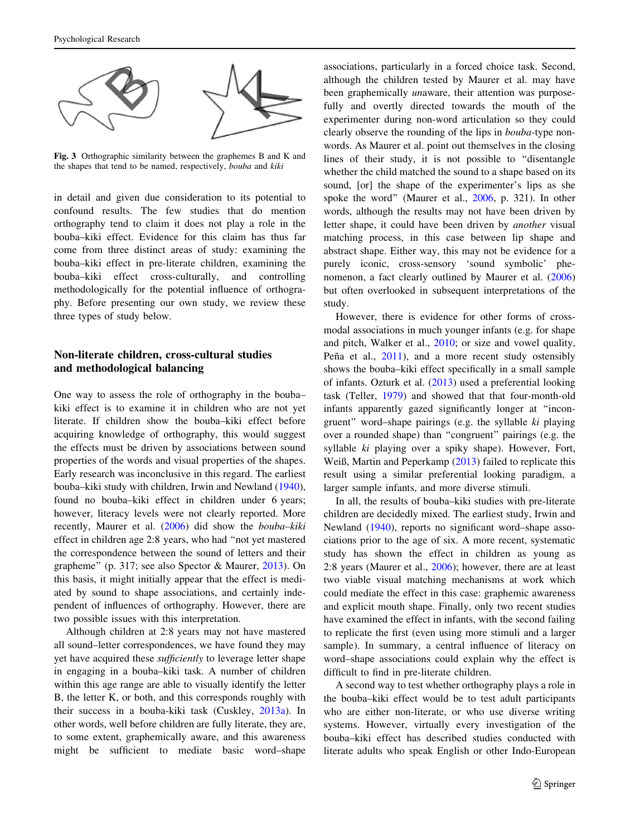<span id="page-3-0"></span>

Fig. 3 Orthographic similarity between the graphemes B and K and the shapes that tend to be named, respectively, bouba and kiki

in detail and given due consideration to its potential to confound results. The few studies that do mention orthography tend to claim it does not play a role in the bouba–kiki effect. Evidence for this claim has thus far come from three distinct areas of study: examining the bouba–kiki effect in pre-literate children, examining the bouba–kiki effect cross-culturally, and controlling methodologically for the potential influence of orthography. Before presenting our own study, we review these three types of study below.

#### Non-literate children, cross-cultural studies and methodological balancing

One way to assess the role of orthography in the bouba– kiki effect is to examine it in children who are not yet literate. If children show the bouba–kiki effect before acquiring knowledge of orthography, this would suggest the effects must be driven by associations between sound properties of the words and visual properties of the shapes. Early research was inconclusive in this regard. The earliest bouba–kiki study with children, Irwin and Newland [\(1940](#page-11-0)), found no bouba–kiki effect in children under 6 years; however, literacy levels were not clearly reported. More recently, Maurer et al. [\(2006](#page-11-0)) did show the bouba–kiki effect in children age 2:8 years, who had ''not yet mastered the correspondence between the sound of letters and their grapheme'' (p. 317; see also Spector & Maurer, [2013](#page-12-0)). On this basis, it might initially appear that the effect is mediated by sound to shape associations, and certainly independent of influences of orthography. However, there are two possible issues with this interpretation.

Although children at 2:8 years may not have mastered all sound–letter correspondences, we have found they may yet have acquired these *sufficiently* to leverage letter shape in engaging in a bouba–kiki task. A number of children within this age range are able to visually identify the letter B, the letter K, or both, and this corresponds roughly with their success in a bouba-kiki task (Cuskley, [2013a\)](#page-11-0). In other words, well before children are fully literate, they are, to some extent, graphemically aware, and this awareness might be sufficient to mediate basic word–shape

associations, particularly in a forced choice task. Second, although the children tested by Maurer et al. may have been graphemically unaware, their attention was purposefully and overtly directed towards the mouth of the experimenter during non-word articulation so they could clearly observe the rounding of the lips in bouba-type nonwords. As Maurer et al. point out themselves in the closing lines of their study, it is not possible to ''disentangle whether the child matched the sound to a shape based on its sound, [or] the shape of the experimenter's lips as she spoke the word'' (Maurer et al., [2006,](#page-11-0) p. 321). In other words, although the results may not have been driven by letter shape, it could have been driven by another visual matching process, in this case between lip shape and abstract shape. Either way, this may not be evidence for a purely iconic, cross-sensory 'sound symbolic' phenomenon, a fact clearly outlined by Maurer et al. ([2006\)](#page-11-0) but often overlooked in subsequent interpretations of the study.

However, there is evidence for other forms of crossmodal associations in much younger infants (e.g. for shape and pitch, Walker et al., [2010](#page-12-0); or size and vowel quality, Peña et al.,  $2011$ ), and a more recent study ostensibly shows the bouba–kiki effect specifically in a small sample of infants. Ozturk et al. [\(2013](#page-12-0)) used a preferential looking task (Teller, [1979](#page-12-0)) and showed that that four-month-old infants apparently gazed significantly longer at ''incongruent'' word–shape pairings (e.g. the syllable ki playing over a rounded shape) than ''congruent'' pairings (e.g. the syllable ki playing over a spiky shape). However, Fort, Weiß, Martin and Peperkamp ([2013\)](#page-11-0) failed to replicate this result using a similar preferential looking paradigm, a larger sample infants, and more diverse stimuli.

In all, the results of bouba–kiki studies with pre-literate children are decidedly mixed. The earliest study, Irwin and Newland ([1940\)](#page-11-0), reports no significant word–shape associations prior to the age of six. A more recent, systematic study has shown the effect in children as young as 2:8 years (Maurer et al., [2006\)](#page-11-0); however, there are at least two viable visual matching mechanisms at work which could mediate the effect in this case: graphemic awareness and explicit mouth shape. Finally, only two recent studies have examined the effect in infants, with the second failing to replicate the first (even using more stimuli and a larger sample). In summary, a central influence of literacy on word–shape associations could explain why the effect is difficult to find in pre-literate children.

A second way to test whether orthography plays a role in the bouba–kiki effect would be to test adult participants who are either non-literate, or who use diverse writing systems. However, virtually every investigation of the bouba–kiki effect has described studies conducted with literate adults who speak English or other Indo-European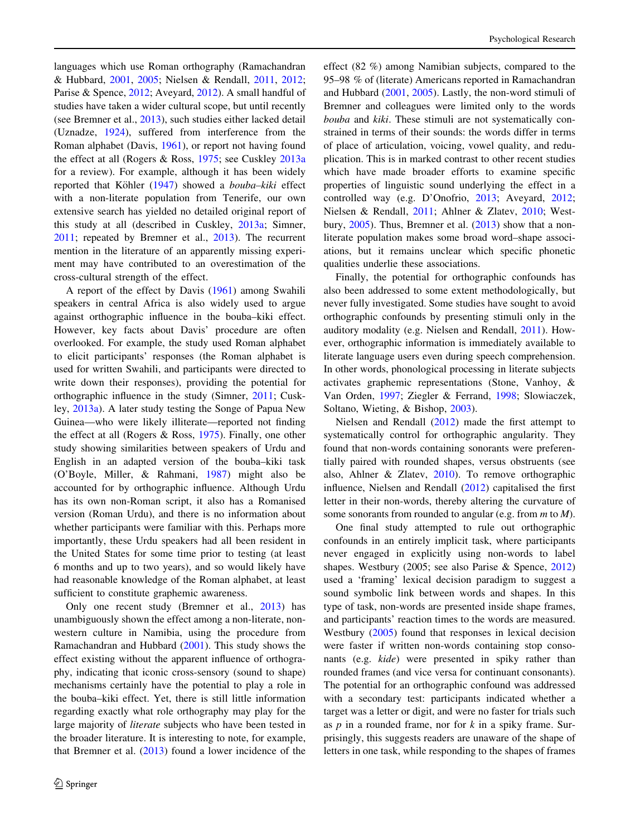languages which use Roman orthography (Ramachandran & Hubbard, [2001,](#page-12-0) [2005](#page-12-0); Nielsen & Rendall, [2011](#page-11-0), [2012](#page-12-0); Parise & Spence, [2012;](#page-12-0) Aveyard, [2012](#page-11-0)). A small handful of studies have taken a wider cultural scope, but until recently (see Bremner et al., [2013](#page-11-0)), such studies either lacked detail (Uznadze, [1924](#page-12-0)), suffered from interference from the Roman alphabet (Davis, [1961](#page-11-0)), or report not having found the effect at all (Rogers & Ross, [1975;](#page-12-0) see Cuskley [2013a](#page-11-0) for a review). For example, although it has been widely reported that Köhler ([1947\)](#page-11-0) showed a bouba-kiki effect with a non-literate population from Tenerife, our own extensive search has yielded no detailed original report of this study at all (described in Cuskley, [2013a;](#page-11-0) Simner, [2011;](#page-12-0) repeated by Bremner et al., [2013\)](#page-11-0). The recurrent mention in the literature of an apparently missing experiment may have contributed to an overestimation of the cross-cultural strength of the effect.

A report of the effect by Davis [\(1961](#page-11-0)) among Swahili speakers in central Africa is also widely used to argue against orthographic influence in the bouba–kiki effect. However, key facts about Davis' procedure are often overlooked. For example, the study used Roman alphabet to elicit participants' responses (the Roman alphabet is used for written Swahili, and participants were directed to write down their responses), providing the potential for orthographic influence in the study (Simner, [2011;](#page-12-0) Cuskley, [2013a](#page-11-0)). A later study testing the Songe of Papua New Guinea—who were likely illiterate—reported not finding the effect at all (Rogers & Ross, [1975\)](#page-12-0). Finally, one other study showing similarities between speakers of Urdu and English in an adapted version of the bouba–kiki task (O'Boyle, Miller, & Rahmani, [1987\)](#page-12-0) might also be accounted for by orthographic influence. Although Urdu has its own non-Roman script, it also has a Romanised version (Roman Urdu), and there is no information about whether participants were familiar with this. Perhaps more importantly, these Urdu speakers had all been resident in the United States for some time prior to testing (at least 6 months and up to two years), and so would likely have had reasonable knowledge of the Roman alphabet, at least sufficient to constitute graphemic awareness.

Only one recent study (Bremner et al., [2013](#page-11-0)) has unambiguously shown the effect among a non-literate, nonwestern culture in Namibia, using the procedure from Ramachandran and Hubbard ([2001\)](#page-12-0). This study shows the effect existing without the apparent influence of orthography, indicating that iconic cross-sensory (sound to shape) mechanisms certainly have the potential to play a role in the bouba–kiki effect. Yet, there is still little information regarding exactly what role orthography may play for the large majority of literate subjects who have been tested in the broader literature. It is interesting to note, for example, that Bremner et al. [\(2013](#page-11-0)) found a lower incidence of the effect (82 %) among Namibian subjects, compared to the 95–98 % of (literate) Americans reported in Ramachandran and Hubbard [\(2001](#page-12-0), [2005\)](#page-12-0). Lastly, the non-word stimuli of Bremner and colleagues were limited only to the words bouba and kiki. These stimuli are not systematically constrained in terms of their sounds: the words differ in terms of place of articulation, voicing, vowel quality, and reduplication. This is in marked contrast to other recent studies which have made broader efforts to examine specific properties of linguistic sound underlying the effect in a controlled way (e.g. D'Onofrio, [2013;](#page-11-0) Aveyard, [2012](#page-11-0); Nielsen & Rendall, [2011](#page-11-0); Ahlner & Zlatev, [2010](#page-11-0); Westbury, [2005](#page-12-0)). Thus, Bremner et al. ([2013](#page-11-0)) show that a nonliterate population makes some broad word–shape associations, but it remains unclear which specific phonetic qualities underlie these associations.

Finally, the potential for orthographic confounds has also been addressed to some extent methodologically, but never fully investigated. Some studies have sought to avoid orthographic confounds by presenting stimuli only in the auditory modality (e.g. Nielsen and Rendall, [2011](#page-11-0)). However, orthographic information is immediately available to literate language users even during speech comprehension. In other words, phonological processing in literate subjects activates graphemic representations (Stone, Vanhoy, & Van Orden, [1997;](#page-12-0) Ziegler & Ferrand, [1998;](#page-12-0) Slowiaczek, Soltano, Wieting, & Bishop, [2003\)](#page-12-0).

Nielsen and Rendall ([2012\)](#page-12-0) made the first attempt to systematically control for orthographic angularity. They found that non-words containing sonorants were preferentially paired with rounded shapes, versus obstruents (see also, Ahlner & Zlatev, [2010\)](#page-11-0). To remove orthographic influence, Nielsen and Rendall [\(2012](#page-12-0)) capitalised the first letter in their non-words, thereby altering the curvature of some sonorants from rounded to angular (e.g. from m to M).

One final study attempted to rule out orthographic confounds in an entirely implicit task, where participants never engaged in explicitly using non-words to label shapes. Westbury (2005; see also Parise & Spence, [2012\)](#page-12-0) used a 'framing' lexical decision paradigm to suggest a sound symbolic link between words and shapes. In this type of task, non-words are presented inside shape frames, and participants' reaction times to the words are measured. Westbury [\(2005](#page-12-0)) found that responses in lexical decision were faster if written non-words containing stop consonants (e.g. kide) were presented in spiky rather than rounded frames (and vice versa for continuant consonants). The potential for an orthographic confound was addressed with a secondary test: participants indicated whether a target was a letter or digit, and were no faster for trials such as  $p$  in a rounded frame, nor for  $k$  in a spiky frame. Surprisingly, this suggests readers are unaware of the shape of letters in one task, while responding to the shapes of frames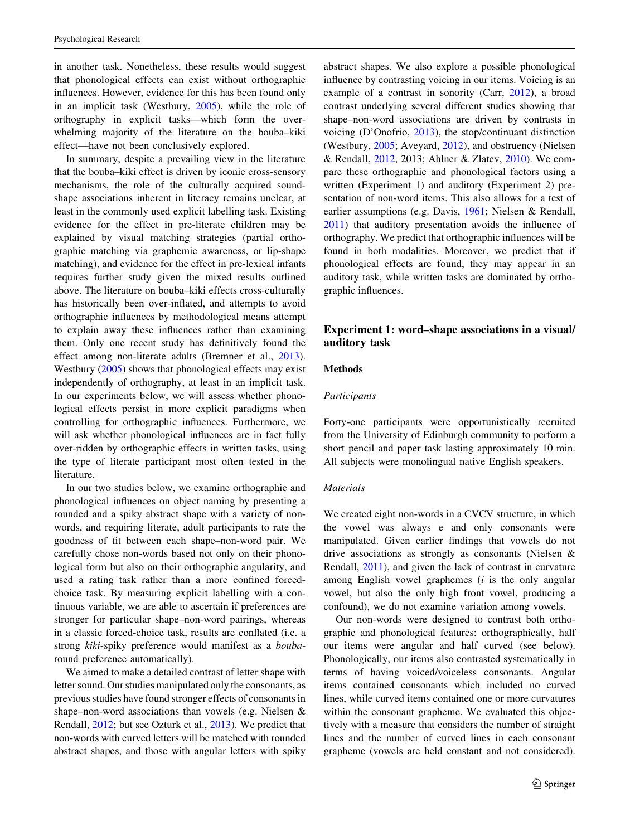in another task. Nonetheless, these results would suggest that phonological effects can exist without orthographic influences. However, evidence for this has been found only in an implicit task (Westbury, [2005](#page-12-0)), while the role of orthography in explicit tasks—which form the overwhelming majority of the literature on the bouba–kiki effect—have not been conclusively explored.

In summary, despite a prevailing view in the literature that the bouba–kiki effect is driven by iconic cross-sensory mechanisms, the role of the culturally acquired soundshape associations inherent in literacy remains unclear, at least in the commonly used explicit labelling task. Existing evidence for the effect in pre-literate children may be explained by visual matching strategies (partial orthographic matching via graphemic awareness, or lip-shape matching), and evidence for the effect in pre-lexical infants requires further study given the mixed results outlined above. The literature on bouba–kiki effects cross-culturally has historically been over-inflated, and attempts to avoid orthographic influences by methodological means attempt to explain away these influences rather than examining them. Only one recent study has definitively found the effect among non-literate adults (Bremner et al., [2013](#page-11-0)). Westbury ([2005\)](#page-12-0) shows that phonological effects may exist independently of orthography, at least in an implicit task. In our experiments below, we will assess whether phonological effects persist in more explicit paradigms when controlling for orthographic influences. Furthermore, we will ask whether phonological influences are in fact fully over-ridden by orthographic effects in written tasks, using the type of literate participant most often tested in the literature.

In our two studies below, we examine orthographic and phonological influences on object naming by presenting a rounded and a spiky abstract shape with a variety of nonwords, and requiring literate, adult participants to rate the goodness of fit between each shape–non-word pair. We carefully chose non-words based not only on their phonological form but also on their orthographic angularity, and used a rating task rather than a more confined forcedchoice task. By measuring explicit labelling with a continuous variable, we are able to ascertain if preferences are stronger for particular shape–non-word pairings, whereas in a classic forced-choice task, results are conflated (i.e. a strong kiki-spiky preference would manifest as a boubaround preference automatically).

We aimed to make a detailed contrast of letter shape with letter sound. Our studies manipulated only the consonants, as previous studies have found stronger effects of consonants in shape–non-word associations than vowels (e.g. Nielsen & Rendall, [2012](#page-12-0); but see Ozturk et al., [2013\)](#page-12-0). We predict that non-words with curved letters will be matched with rounded abstract shapes, and those with angular letters with spiky

abstract shapes. We also explore a possible phonological influence by contrasting voicing in our items. Voicing is an example of a contrast in sonority (Carr, [2012\)](#page-11-0), a broad contrast underlying several different studies showing that shape–non-word associations are driven by contrasts in voicing (D'Onofrio, [2013](#page-11-0)), the stop/continuant distinction (Westbury, [2005](#page-12-0); Aveyard, [2012](#page-11-0)), and obstruency (Nielsen & Rendall, [2012,](#page-12-0) 2013; Ahlner & Zlatev, [2010\)](#page-11-0). We compare these orthographic and phonological factors using a written (Experiment 1) and auditory (Experiment 2) presentation of non-word items. This also allows for a test of earlier assumptions (e.g. Davis, [1961;](#page-11-0) Nielsen & Rendall, [2011](#page-11-0)) that auditory presentation avoids the influence of orthography. We predict that orthographic influences will be found in both modalities. Moreover, we predict that if phonological effects are found, they may appear in an auditory task, while written tasks are dominated by orthographic influences.

#### Experiment 1: word–shape associations in a visual/ auditory task

#### Methods

#### Participants

Forty-one participants were opportunistically recruited from the University of Edinburgh community to perform a short pencil and paper task lasting approximately 10 min. All subjects were monolingual native English speakers.

#### Materials

We created eight non-words in a CVCV structure, in which the vowel was always e and only consonants were manipulated. Given earlier findings that vowels do not drive associations as strongly as consonants (Nielsen & Rendall, [2011\)](#page-11-0), and given the lack of contrast in curvature among English vowel graphemes  $(i$  is the only angular vowel, but also the only high front vowel, producing a confound), we do not examine variation among vowels.

Our non-words were designed to contrast both orthographic and phonological features: orthographically, half our items were angular and half curved (see below). Phonologically, our items also contrasted systematically in terms of having voiced/voiceless consonants. Angular items contained consonants which included no curved lines, while curved items contained one or more curvatures within the consonant grapheme. We evaluated this objectively with a measure that considers the number of straight lines and the number of curved lines in each consonant grapheme (vowels are held constant and not considered).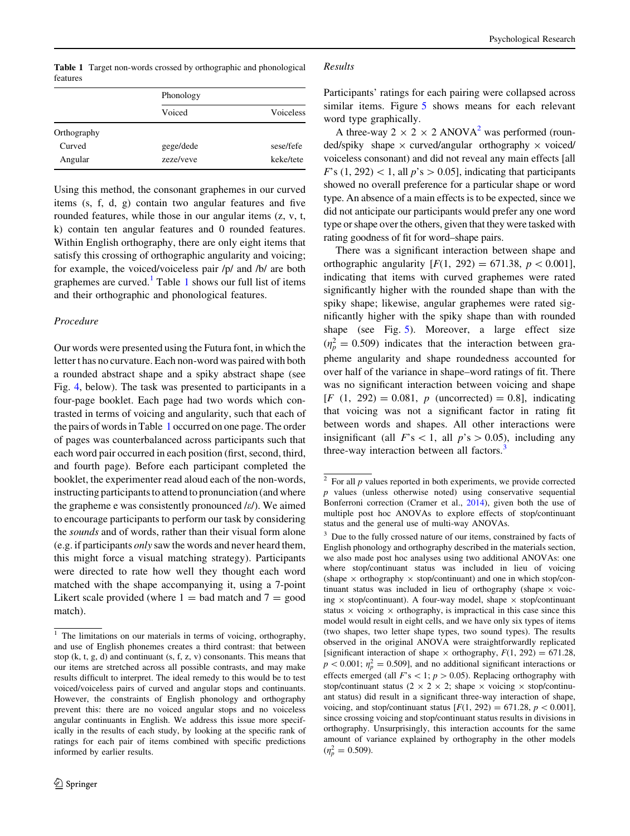Table 1 Target non-words crossed by orthographic and phonological features

|             | Phonology |           |
|-------------|-----------|-----------|
|             | Voiced    | Voiceless |
| Orthography |           |           |
| Curved      | gege/dede | sese/fefe |
| Angular     | zeze/veve | keke/tete |

Using this method, the consonant graphemes in our curved items (s, f, d, g) contain two angular features and five rounded features, while those in our angular items (z, v, t, k) contain ten angular features and 0 rounded features. Within English orthography, there are only eight items that satisfy this crossing of orthographic angularity and voicing; for example, the voiced/voiceless pair /p/ and /b/ are both graphemes are curved.<sup>1</sup> Table 1 shows our full list of items and their orthographic and phonological features.

#### Procedure

Our words were presented using the Futura font, in which the letter t has no curvature. Each non-word was paired with both a rounded abstract shape and a spiky abstract shape (see Fig. [4](#page-7-0), below). The task was presented to participants in a four-page booklet. Each page had two words which contrasted in terms of voicing and angularity, such that each of the pairs of words in Table 1 occurred on one page. The order of pages was counterbalanced across participants such that each word pair occurred in each position (first, second, third, and fourth page). Before each participant completed the booklet, the experimenter read aloud each of the non-words, instructing participants to attend to pronunciation (and where the grapheme e was consistently pronounced  $\ell \varepsilon$ . We aimed to encourage participants to perform our task by considering the sounds and of words, rather than their visual form alone (e.g. if participants only saw the words and never heard them, this might force a visual matching strategy). Participants were directed to rate how well they thought each word matched with the shape accompanying it, using a 7-point Likert scale provided (where  $1 =$  bad match and  $7 =$  good match).

#### Results

Participants' ratings for each pairing were collapsed across similar items. Figure [5](#page-7-0) shows means for each relevant word type graphically.

A three-way  $2 \times 2 \times 2$  ANOVA<sup>2</sup> was performed (rounded/spiky shape  $\times$  curved/angular orthography  $\times$  voiced/ voiceless consonant) and did not reveal any main effects [all  $F$ 's (1, 292) < 1, all  $p$ 's > 0.05], indicating that participants showed no overall preference for a particular shape or word type. An absence of a main effects is to be expected, since we did not anticipate our participants would prefer any one word type or shape over the others, given that they were tasked with rating goodness of fit for word–shape pairs.

There was a significant interaction between shape and orthographic angularity  $[F(1, 292) = 671.38, p < 0.001]$ , indicating that items with curved graphemes were rated significantly higher with the rounded shape than with the spiky shape; likewise, angular graphemes were rated significantly higher with the spiky shape than with rounded shape (see Fig. [5](#page-7-0)). Moreover, a large effect size  $(\eta_p^2 = 0.509)$  indicates that the interaction between grapheme angularity and shape roundedness accounted for over half of the variance in shape–word ratings of fit. There was no significant interaction between voicing and shape  $[F (1, 292) = 0.081, p (uncorrected) = 0.8], indicating$ that voicing was not a significant factor in rating fit between words and shapes. All other interactions were insignificant (all  $F$ 's < 1, all  $p$ 's > 0.05), including any three-way interaction between all factors.<sup>3</sup>

 $\overline{1}$  The limitations on our materials in terms of voicing, orthography, and use of English phonemes creates a third contrast: that between stop  $(k, t, g, d)$  and continuant  $(s, f, z, v)$  consonants. This means that our items are stretched across all possible contrasts, and may make results difficult to interpret. The ideal remedy to this would be to test voiced/voiceless pairs of curved and angular stops and continuants. However, the constraints of English phonology and orthography prevent this: there are no voiced angular stops and no voiceless angular continuants in English. We address this issue more specifically in the results of each study, by looking at the specific rank of ratings for each pair of items combined with specific predictions informed by earlier results.

 $2$  For all  $p$  values reported in both experiments, we provide corrected p values (unless otherwise noted) using conservative sequential Bonferroni correction (Cramer et al., [2014](#page-11-0)), given both the use of multiple post hoc ANOVAs to explore effects of stop/continuant status and the general use of multi-way ANOVAs.

<sup>&</sup>lt;sup>3</sup> Due to the fully crossed nature of our items, constrained by facts of English phonology and orthography described in the materials section, we also made post hoc analyses using two additional ANOVAs: one where stop/continuant status was included in lieu of voicing (shape  $\times$  orthography  $\times$  stop/continuant) and one in which stop/continuant status was included in lieu of orthography (shape  $\times$  voicing  $\times$  stop/continuant). A four-way model, shape  $\times$  stop/continuant status  $\times$  voicing  $\times$  orthography, is impractical in this case since this model would result in eight cells, and we have only six types of items (two shapes, two letter shape types, two sound types). The results observed in the original ANOVA were straightforwardly replicated [significant interaction of shape  $\times$  orthography,  $F(1, 292) = 671.28$ ,  $p < 0.001$ ;  $\eta_p^2 = 0.509$ ], and no additional significant interactions or effects emerged (all  $F$ 's < 1;  $p > 0.05$ ). Replacing orthography with stop/continuant status (2  $\times$  2  $\times$  2; shape  $\times$  voicing  $\times$  stop/continuant status) did result in a significant three-way interaction of shape, voicing, and stop/continuant status  $[F(1, 292) = 671.28, p < 0.001]$ , since crossing voicing and stop/continuant status results in divisions in orthography. Unsurprisingly, this interaction accounts for the same amount of variance explained by orthography in the other models  $(\eta_p^2 = 0.509).$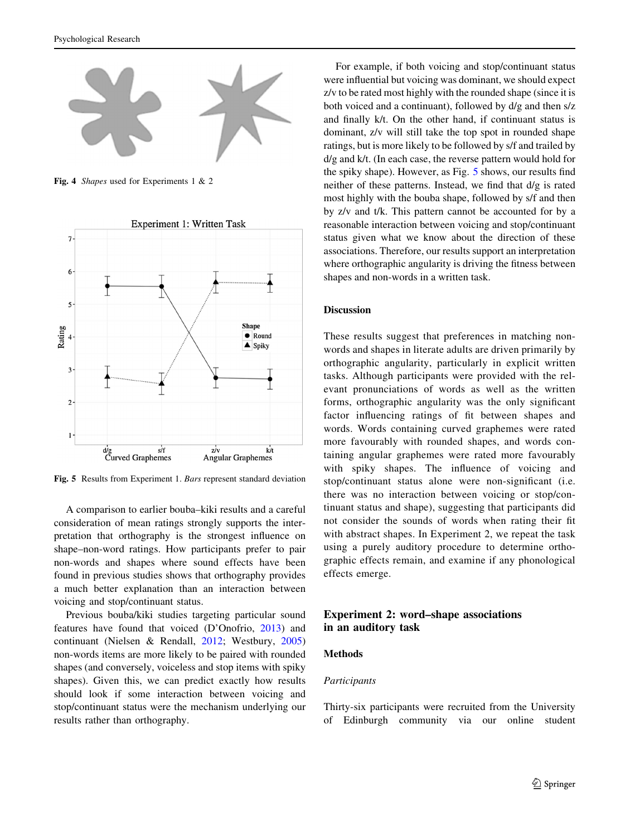<span id="page-7-0"></span>

Fig. 4 Shapes used for Experiments 1 & 2



Fig. 5 Results from Experiment 1. Bars represent standard deviation

A comparison to earlier bouba–kiki results and a careful consideration of mean ratings strongly supports the interpretation that orthography is the strongest influence on shape–non-word ratings. How participants prefer to pair non-words and shapes where sound effects have been found in previous studies shows that orthography provides a much better explanation than an interaction between voicing and stop/continuant status.

Previous bouba/kiki studies targeting particular sound features have found that voiced (D'Onofrio, [2013](#page-11-0)) and continuant (Nielsen & Rendall, [2012;](#page-12-0) Westbury, [2005\)](#page-12-0) non-words items are more likely to be paired with rounded shapes (and conversely, voiceless and stop items with spiky shapes). Given this, we can predict exactly how results should look if some interaction between voicing and stop/continuant status were the mechanism underlying our results rather than orthography.

For example, if both voicing and stop/continuant status were influential but voicing was dominant, we should expect z/v to be rated most highly with the rounded shape (since it is both voiced and a continuant), followed by d/g and then s/z and finally k/t. On the other hand, if continuant status is dominant, z/v will still take the top spot in rounded shape ratings, but is more likely to be followed by s/f and trailed by d/g and k/t. (In each case, the reverse pattern would hold for the spiky shape). However, as Fig. 5 shows, our results find neither of these patterns. Instead, we find that d/g is rated most highly with the bouba shape, followed by s/f and then by z/v and t/k. This pattern cannot be accounted for by a reasonable interaction between voicing and stop/continuant status given what we know about the direction of these associations. Therefore, our results support an interpretation where orthographic angularity is driving the fitness between shapes and non-words in a written task.

#### Discussion

These results suggest that preferences in matching nonwords and shapes in literate adults are driven primarily by orthographic angularity, particularly in explicit written tasks. Although participants were provided with the relevant pronunciations of words as well as the written forms, orthographic angularity was the only significant factor influencing ratings of fit between shapes and words. Words containing curved graphemes were rated more favourably with rounded shapes, and words containing angular graphemes were rated more favourably with spiky shapes. The influence of voicing and stop/continuant status alone were non-significant (i.e. there was no interaction between voicing or stop/continuant status and shape), suggesting that participants did not consider the sounds of words when rating their fit with abstract shapes. In Experiment 2, we repeat the task using a purely auditory procedure to determine orthographic effects remain, and examine if any phonological effects emerge.

#### Experiment 2: word–shape associations in an auditory task

#### Methods

#### Participants

Thirty-six participants were recruited from the University of Edinburgh community via our online student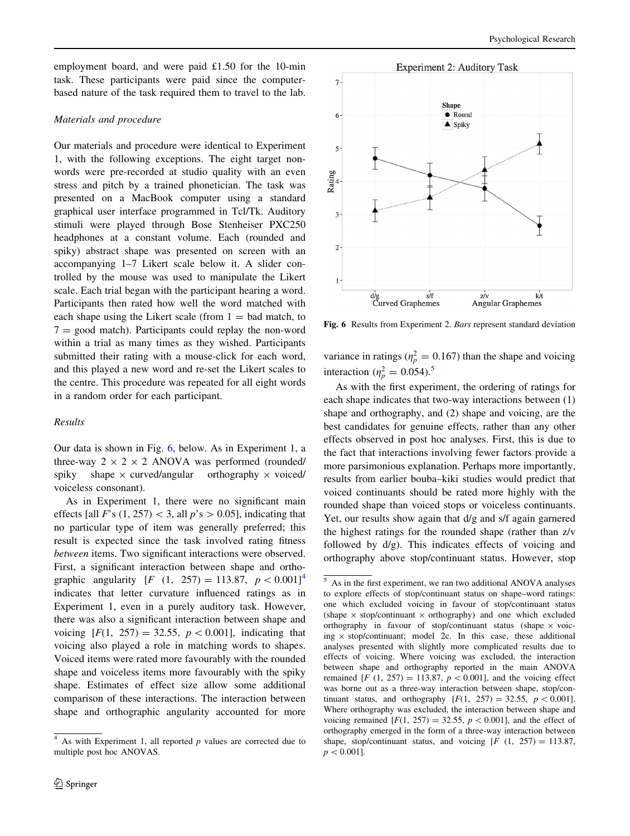employment board, and were paid £1.50 for the 10-min task. These participants were paid since the computerbased nature of the task required them to travel to the lab.

#### Materials and procedure

Our materials and procedure were identical to Experiment 1, with the following exceptions. The eight target nonwords were pre-recorded at studio quality with an even stress and pitch by a trained phonetician. The task was presented on a MacBook computer using a standard graphical user interface programmed in Tcl/Tk. Auditory stimuli were played through Bose Stenheiser PXC250 headphones at a constant volume. Each (rounded and spiky) abstract shape was presented on screen with an accompanying 1–7 Likert scale below it. A slider controlled by the mouse was used to manipulate the Likert scale. Each trial began with the participant hearing a word. Participants then rated how well the word matched with each shape using the Likert scale (from  $1 =$  bad match, to  $7 =$  good match). Participants could replay the non-word within a trial as many times as they wished. Participants submitted their rating with a mouse-click for each word, and this played a new word and re-set the Likert scales to the centre. This procedure was repeated for all eight words in a random order for each participant.

#### Results

Our data is shown in Fig. 6, below. As in Experiment 1, a three-way  $2 \times 2 \times 2$  ANOVA was performed (rounded/ spiky shape  $\times$  curved/angular orthography  $\times$  voiced/ voiceless consonant).

As in Experiment 1, there were no significant main effects [all F's  $(1, 257) < 3$ , all p's  $> 0.05$ ], indicating that no particular type of item was generally preferred; this result is expected since the task involved rating fitness between items. Two significant interactions were observed. First, a significant interaction between shape and orthographic angularity  $[F (1, 257) = 113.87, p < 0.001]^4$ indicates that letter curvature influenced ratings as in Experiment 1, even in a purely auditory task. However, there was also a significant interaction between shape and voicing  $[F(1, 257) = 32.55, p < 0.001]$ , indicating that voicing also played a role in matching words to shapes. Voiced items were rated more favourably with the rounded shape and voiceless items more favourably with the spiky shape. Estimates of effect size allow some additional comparison of these interactions. The interaction between shape and orthographic angularity accounted for more



Fig. 6 Results from Experiment 2. Bars represent standard deviation

variance in ratings ( $\eta_p^2 = 0.167$ ) than the shape and voicing interaction ( $\eta_p^2 = 0.054$ ).<sup>5</sup>

As with the first experiment, the ordering of ratings for each shape indicates that two-way interactions between (1) shape and orthography, and (2) shape and voicing, are the best candidates for genuine effects, rather than any other effects observed in post hoc analyses. First, this is due to the fact that interactions involving fewer factors provide a more parsimonious explanation. Perhaps more importantly, results from earlier bouba–kiki studies would predict that voiced continuants should be rated more highly with the rounded shape than voiced stops or voiceless continuants. Yet, our results show again that  $d/g$  and s/f again garnered the highest ratings for the rounded shape (rather than z/v followed by d/g). This indicates effects of voicing and orthography above stop/continuant status. However, stop

As with Experiment 1, all reported  $p$  values are corrected due to multiple post hoc ANOVAS.

<sup>5</sup> As in the first experiment, we ran two additional ANOVA analyses to explore effects of stop/continuant status on shape–word ratings: one which excluded voicing in favour of stop/continuant status (shape  $\times$  stop/continuant  $\times$  orthography) and one which excluded orthography in favour of stop/continuant status (shape  $\times$  voicing  $\times$  stop/continuant; model 2c. In this case, these additional analyses presented with slightly more complicated results due to effects of voicing. Where voicing was excluded, the interaction between shape and orthography reported in the main ANOVA remained [F (1, 257) = 113.87,  $p < 0.001$ ], and the voicing effect was borne out as a three-way interaction between shape, stop/continuant status, and orthography  $[F(1, 257) = 32.55, p < 0.001]$ . Where orthography was excluded, the interaction between shape and voicing remained  $[F(1, 257) = 32.55, p < 0.001]$ , and the effect of orthography emerged in the form of a three-way interaction between shape, stop/continuant status, and voicing  $[F (1, 257) = 113.87,$  $p<0.001$ .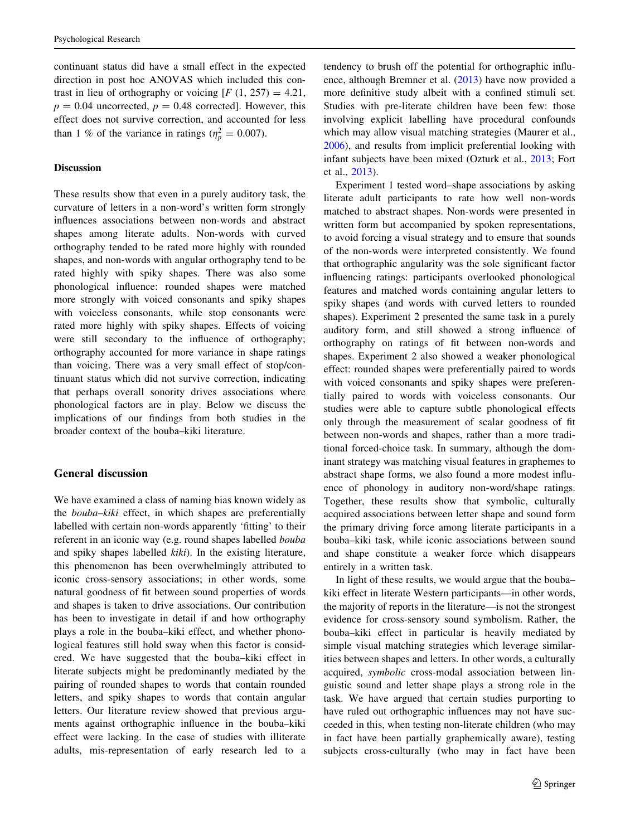continuant status did have a small effect in the expected direction in post hoc ANOVAS which included this contrast in lieu of orthography or voicing  $[F(1, 257) = 4.21]$ ,  $p = 0.04$  uncorrected,  $p = 0.48$  corrected]. However, this effect does not survive correction, and accounted for less than 1 % of the variance in ratings ( $\eta_p^2 = 0.007$ ).

#### Discussion

These results show that even in a purely auditory task, the curvature of letters in a non-word's written form strongly influences associations between non-words and abstract shapes among literate adults. Non-words with curved orthography tended to be rated more highly with rounded shapes, and non-words with angular orthography tend to be rated highly with spiky shapes. There was also some phonological influence: rounded shapes were matched more strongly with voiced consonants and spiky shapes with voiceless consonants, while stop consonants were rated more highly with spiky shapes. Effects of voicing were still secondary to the influence of orthography; orthography accounted for more variance in shape ratings than voicing. There was a very small effect of stop/continuant status which did not survive correction, indicating that perhaps overall sonority drives associations where phonological factors are in play. Below we discuss the implications of our findings from both studies in the broader context of the bouba–kiki literature.

#### General discussion

We have examined a class of naming bias known widely as the bouba–kiki effect, in which shapes are preferentially labelled with certain non-words apparently 'fitting' to their referent in an iconic way (e.g. round shapes labelled bouba and spiky shapes labelled kiki). In the existing literature, this phenomenon has been overwhelmingly attributed to iconic cross-sensory associations; in other words, some natural goodness of fit between sound properties of words and shapes is taken to drive associations. Our contribution has been to investigate in detail if and how orthography plays a role in the bouba–kiki effect, and whether phonological features still hold sway when this factor is considered. We have suggested that the bouba–kiki effect in literate subjects might be predominantly mediated by the pairing of rounded shapes to words that contain rounded letters, and spiky shapes to words that contain angular letters. Our literature review showed that previous arguments against orthographic influence in the bouba–kiki effect were lacking. In the case of studies with illiterate adults, mis-representation of early research led to a tendency to brush off the potential for orthographic influence, although Bremner et al. ([2013\)](#page-11-0) have now provided a more definitive study albeit with a confined stimuli set. Studies with pre-literate children have been few: those involving explicit labelling have procedural confounds which may allow visual matching strategies (Maurer et al., [2006](#page-11-0)), and results from implicit preferential looking with infant subjects have been mixed (Ozturk et al., [2013;](#page-12-0) Fort et al., [2013](#page-11-0)).

Experiment 1 tested word–shape associations by asking literate adult participants to rate how well non-words matched to abstract shapes. Non-words were presented in written form but accompanied by spoken representations, to avoid forcing a visual strategy and to ensure that sounds of the non-words were interpreted consistently. We found that orthographic angularity was the sole significant factor influencing ratings: participants overlooked phonological features and matched words containing angular letters to spiky shapes (and words with curved letters to rounded shapes). Experiment 2 presented the same task in a purely auditory form, and still showed a strong influence of orthography on ratings of fit between non-words and shapes. Experiment 2 also showed a weaker phonological effect: rounded shapes were preferentially paired to words with voiced consonants and spiky shapes were preferentially paired to words with voiceless consonants. Our studies were able to capture subtle phonological effects only through the measurement of scalar goodness of fit between non-words and shapes, rather than a more traditional forced-choice task. In summary, although the dominant strategy was matching visual features in graphemes to abstract shape forms, we also found a more modest influence of phonology in auditory non-word/shape ratings. Together, these results show that symbolic, culturally acquired associations between letter shape and sound form the primary driving force among literate participants in a bouba–kiki task, while iconic associations between sound and shape constitute a weaker force which disappears entirely in a written task.

In light of these results, we would argue that the bouba– kiki effect in literate Western participants—in other words, the majority of reports in the literature—is not the strongest evidence for cross-sensory sound symbolism. Rather, the bouba–kiki effect in particular is heavily mediated by simple visual matching strategies which leverage similarities between shapes and letters. In other words, a culturally acquired, symbolic cross-modal association between linguistic sound and letter shape plays a strong role in the task. We have argued that certain studies purporting to have ruled out orthographic influences may not have succeeded in this, when testing non-literate children (who may in fact have been partially graphemically aware), testing subjects cross-culturally (who may in fact have been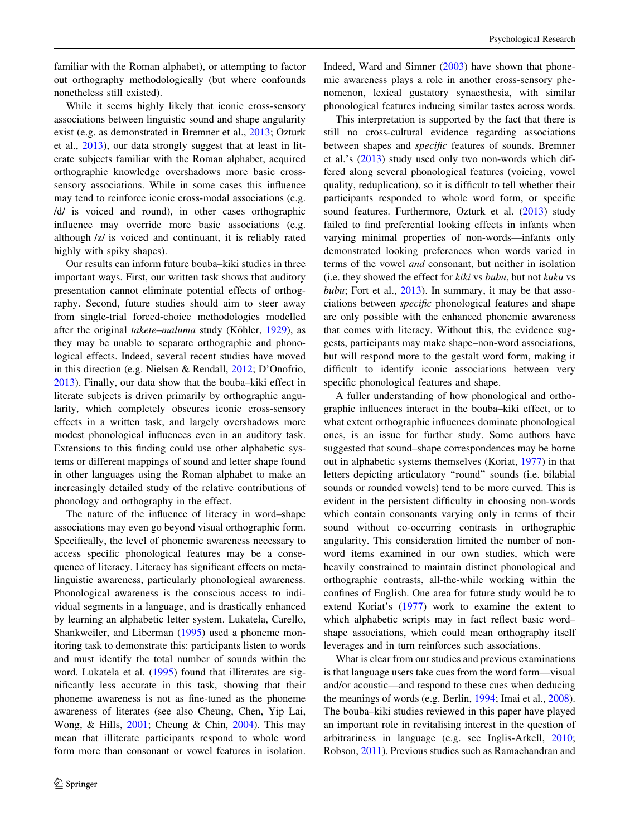familiar with the Roman alphabet), or attempting to factor out orthography methodologically (but where confounds nonetheless still existed).

While it seems highly likely that iconic cross-sensory associations between linguistic sound and shape angularity exist (e.g. as demonstrated in Bremner et al., [2013;](#page-11-0) Ozturk et al., [2013\)](#page-12-0), our data strongly suggest that at least in literate subjects familiar with the Roman alphabet, acquired orthographic knowledge overshadows more basic crosssensory associations. While in some cases this influence may tend to reinforce iconic cross-modal associations (e.g. /d/ is voiced and round), in other cases orthographic influence may override more basic associations (e.g. although /z/ is voiced and continuant, it is reliably rated highly with spiky shapes).

Our results can inform future bouba–kiki studies in three important ways. First, our written task shows that auditory presentation cannot eliminate potential effects of orthography. Second, future studies should aim to steer away from single-trial forced-choice methodologies modelled after the original *takete–maluma* study (Köhler,  $1929$ ), as they may be unable to separate orthographic and phonological effects. Indeed, several recent studies have moved in this direction (e.g. Nielsen & Rendall, [2012;](#page-12-0) D'Onofrio, [2013\)](#page-11-0). Finally, our data show that the bouba–kiki effect in literate subjects is driven primarily by orthographic angularity, which completely obscures iconic cross-sensory effects in a written task, and largely overshadows more modest phonological influences even in an auditory task. Extensions to this finding could use other alphabetic systems or different mappings of sound and letter shape found in other languages using the Roman alphabet to make an increasingly detailed study of the relative contributions of phonology and orthography in the effect.

The nature of the influence of literacy in word–shape associations may even go beyond visual orthographic form. Specifically, the level of phonemic awareness necessary to access specific phonological features may be a consequence of literacy. Literacy has significant effects on metalinguistic awareness, particularly phonological awareness. Phonological awareness is the conscious access to individual segments in a language, and is drastically enhanced by learning an alphabetic letter system. Lukatela, Carello, Shankweiler, and Liberman [\(1995\)](#page-11-0) used a phoneme monitoring task to demonstrate this: participants listen to words and must identify the total number of sounds within the word. Lukatela et al. [\(1995](#page-11-0)) found that illiterates are significantly less accurate in this task, showing that their phoneme awareness is not as fine-tuned as the phoneme awareness of literates (see also Cheung, Chen, Yip Lai, Wong, & Hills, [2001;](#page-11-0) Cheung & Chin, [2004](#page-11-0)). This may mean that illiterate participants respond to whole word form more than consonant or vowel features in isolation.

Indeed, Ward and Simner ([2003\)](#page-12-0) have shown that phonemic awareness plays a role in another cross-sensory phenomenon, lexical gustatory synaesthesia, with similar phonological features inducing similar tastes across words.

This interpretation is supported by the fact that there is still no cross-cultural evidence regarding associations between shapes and specific features of sounds. Bremner et al.'s [\(2013](#page-11-0)) study used only two non-words which differed along several phonological features (voicing, vowel quality, reduplication), so it is difficult to tell whether their participants responded to whole word form, or specific sound features. Furthermore, Ozturk et al. [\(2013](#page-12-0)) study failed to find preferential looking effects in infants when varying minimal properties of non-words—infants only demonstrated looking preferences when words varied in terms of the vowel and consonant, but neither in isolation (i.e. they showed the effect for kiki vs bubu, but not kuku vs bubu; Fort et al., [2013\)](#page-11-0). In summary, it may be that associations between specific phonological features and shape are only possible with the enhanced phonemic awareness that comes with literacy. Without this, the evidence suggests, participants may make shape–non-word associations, but will respond more to the gestalt word form, making it difficult to identify iconic associations between very specific phonological features and shape.

A fuller understanding of how phonological and orthographic influences interact in the bouba–kiki effect, or to what extent orthographic influences dominate phonological ones, is an issue for further study. Some authors have suggested that sound–shape correspondences may be borne out in alphabetic systems themselves (Koriat, [1977](#page-11-0)) in that letters depicting articulatory ''round'' sounds (i.e. bilabial sounds or rounded vowels) tend to be more curved. This is evident in the persistent difficulty in choosing non-words which contain consonants varying only in terms of their sound without co-occurring contrasts in orthographic angularity. This consideration limited the number of nonword items examined in our own studies, which were heavily constrained to maintain distinct phonological and orthographic contrasts, all-the-while working within the confines of English. One area for future study would be to extend Koriat's [\(1977](#page-11-0)) work to examine the extent to which alphabetic scripts may in fact reflect basic word– shape associations, which could mean orthography itself leverages and in turn reinforces such associations.

What is clear from our studies and previous examinations is that language users take cues from the word form—visual and/or acoustic—and respond to these cues when deducing the meanings of words (e.g. Berlin, [1994;](#page-11-0) Imai et al., [2008](#page-11-0)). The bouba–kiki studies reviewed in this paper have played an important role in revitalising interest in the question of arbitrariness in language (e.g. see Inglis-Arkell, [2010](#page-11-0); Robson, [2011](#page-12-0)). Previous studies such as Ramachandran and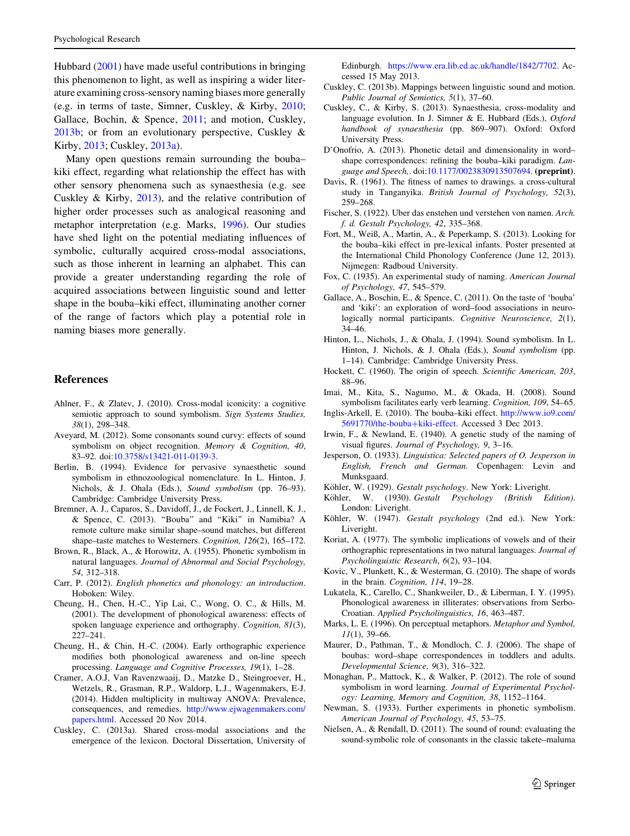<span id="page-11-0"></span>Hubbard ([2001\)](#page-12-0) have made useful contributions in bringing this phenomenon to light, as well as inspiring a wider literature examining cross-sensory naming biases more generally (e.g. in terms of taste, Simner, Cuskley, & Kirby, [2010](#page-12-0); Gallace, Bochin, & Spence, 2011; and motion, Cuskley, 2013b; or from an evolutionary perspective, Cuskley & Kirby, 2013; Cuskley, 2013a).

Many open questions remain surrounding the bouba– kiki effect, regarding what relationship the effect has with other sensory phenomena such as synaesthesia (e.g. see Cuskley & Kirby, 2013), and the relative contribution of higher order processes such as analogical reasoning and metaphor interpretation (e.g. Marks, 1996). Our studies have shed light on the potential mediating influences of symbolic, culturally acquired cross-modal associations, such as those inherent in learning an alphabet. This can provide a greater understanding regarding the role of acquired associations between linguistic sound and letter shape in the bouba–kiki effect, illuminating another corner of the range of factors which play a potential role in naming biases more generally.

#### References

- Ahlner, F., & Zlatev, J. (2010). Cross-modal iconicity: a cognitive semiotic approach to sound symbolism. Sign Systems Studies, 38(1), 298–348.
- Aveyard, M. (2012). Some consonants sound curvy: effects of sound symbolism on object recognition. Memory & Cognition, 40, 83–92. doi[:10.3758/s13421-011-0139-3](http://dx.doi.org/10.3758/s13421-011-0139-3).
- Berlin, B. (1994). Evidence for pervasive synaesthetic sound symbolism in ethnozoological nomenclature. In L. Hinton, J. Nichols, & J. Ohala (Eds.), Sound symbolism (pp. 76–93). Cambridge: Cambridge University Press.
- Bremner, A. J., Caparos, S., Davidoff, J., de Fockert, J., Linnell, K. J., & Spence, C. (2013). ''Bouba'' and ''Kiki'' in Namibia? A remote culture make similar shape–sound matches, but different shape–taste matches to Westerners. Cognition, 126(2), 165–172.
- Brown, R., Black, A., & Horowitz, A. (1955). Phonetic symbolism in natural languages. Journal of Abnormal and Social Psychology, 54, 312–318.
- Carr, P. (2012). English phonetics and phonology: an introduction. Hoboken: Wiley.
- Cheung, H., Chen, H.-C., Yip Lai, C., Wong, O. C., & Hills, M. (2001). The development of phonological awareness: effects of spoken language experience and orthography. Cognition, 81(3), 227–241.
- Cheung, H., & Chin, H.-C. (2004). Early orthographic experience modifies both phonological awareness and on-line speech processing. Language and Cognitive Processes, 19(1), 1–28.
- Cramer, A.O.J, Van Ravenzwaaij, D., Matzke D., Steingroever, H., Wetzels, R., Grasman, R.P., Waldorp, L.J., Wagenmakers, E-J. (2014). Hidden multiplicity in multiway ANOVA: Prevalence, consequences, and remedies. [http://www.ejwagenmakers.com/](http://www.ejwagenmakers.com/papers.html) [papers.html.](http://www.ejwagenmakers.com/papers.html) Accessed 20 Nov 2014.
- Cuskley, C. (2013a). Shared cross-modal associations and the emergence of the lexicon. Doctoral Dissertation, University of

Edinburgh. [https://www.era.lib.ed.ac.uk/handle/1842/7702.](https://www.era.lib.ed.ac.uk/handle/1842/7702) Accessed 15 May 2013.

- Cuskley, C. (2013b). Mappings between linguistic sound and motion. Public Journal of Semiotics, 5(1), 37–60.
- Cuskley, C., & Kirby, S. (2013). Synaesthesia, cross-modality and language evolution. In J. Simner & E. Hubbard (Eds.), Oxford handbook of synaesthesia (pp. 869–907). Oxford: Oxford University Press.
- D'Onofrio, A. (2013). Phonetic detail and dimensionality in word– shape correspondences: refining the bouba–kiki paradigm. Language and Speech,. doi[:10.1177/0023830913507694.](http://dx.doi.org/10.1177/0023830913507694) (preprint).
- Davis, R. (1961). The fitness of names to drawings. a cross-cultural study in Tanganyika. British Journal of Psychology, 52(3), 259–268.
- Fischer, S. (1922). Uber das enstehen und verstehen von namen. Arch. f. d. Gestalt Psychology, 42, 335–368.
- Fort, M., Weiß, A., Martin, A., & Peperkamp, S. (2013). Looking for the bouba–kiki effect in pre-lexical infants. Poster presented at the International Child Phonology Conference (June 12, 2013). Nijmegen: Radboud University.
- Fox, C. (1935). An experimental study of naming. American Journal of Psychology, 47, 545–579.
- Gallace, A., Boschin, E., & Spence, C. (2011). On the taste of 'bouba' and 'kiki': an exploration of word–food associations in neurologically normal participants. Cognitive Neuroscience, 2(1), 34–46.
- Hinton, L., Nichols, J., & Ohala, J. (1994). Sound symbolism. In L. Hinton, J. Nichols, & J. Ohala (Eds.), Sound symbolism (pp. 1–14). Cambridge: Cambridge University Press.
- Hockett, C. (1960). The origin of speech. Scientific American, 203, 88–96.
- Imai, M., Kita, S., Nagumo, M., & Okada, H. (2008). Sound symbolism facilitates early verb learning. Cognition, 109, 54–65.
- Inglis-Arkell, E. (2010). The bouba–kiki effect. [http://www.io9.com/](http://www.io9.com/5691770/the-bouba%2bkiki-effect) [5691770/the-bouba](http://www.io9.com/5691770/the-bouba%2bkiki-effect)+kiki-effect. Accessed 3 Dec 2013.
- Irwin, F., & Newland, E. (1940). A genetic study of the naming of visual figures. Journal of Psychology, 9, 3–16.
- Jesperson, O. (1933). Linguistica: Selected papers of O. Jesperson in English, French and German. Copenhagen: Levin and Munksgaard.
- Köhler, W. (1929). Gestalt psychology. New York: Liveright.
- Köhler, W. (1930). Gestalt Psychology (British Edition). London: Liveright.
- Köhler, W. (1947). Gestalt psychology (2nd ed.). New York: Liveright.
- Koriat, A. (1977). The symbolic implications of vowels and of their orthographic representations in two natural languages. Journal of Psycholinguistic Research, 6(2), 93–104.
- Kovic, V., Plunkett, K., & Westerman, G. (2010). The shape of words in the brain. Cognition, 114, 19–28.
- Lukatela, K., Carello, C., Shankweiler, D., & Liberman, I. Y. (1995). Phonological awareness in illiterates: observations from Serbo-Croatian. Applied Psycholinguistics, 16, 463–487.
- Marks, L. E. (1996). On perceptual metaphors. Metaphor and Symbol,  $11(1)$ , 39–66.
- Maurer, D., Pathman, T., & Mondloch, C. J. (2006). The shape of boubas: word–shape correspondences in toddlers and adults. Developmental Science, 9(3), 316–322.
- Monaghan, P., Mattock, K., & Walker, P. (2012). The role of sound symbolism in word learning. Journal of Experimental Psychology: Learning, Memory and Cognition, 38, 1152–1164.
- Newman, S. (1933). Further experiments in phonetic symbolism. American Journal of Psychology, 45, 53–75.
- Nielsen, A., & Rendall, D. (2011). The sound of round: evaluating the sound-symbolic role of consonants in the classic takete–maluma